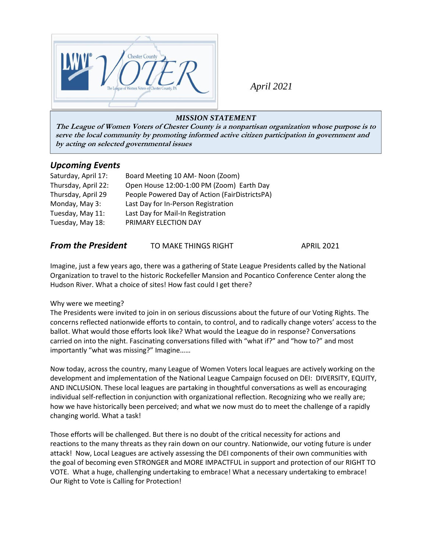

*April 2021*

## *MISSION STATEMENT*

**The League of Women Voters of Chester County is a nonpartisan organization whose purpose is to serve the local community by promoting informed active citizen participation in government and by acting on selected governmental issues**

# *Upcoming Events*

| Saturday, April 17: | Board Meeting 10 AM- Noon (Zoom)               |
|---------------------|------------------------------------------------|
| Thursday, April 22: | Open House 12:00-1:00 PM (Zoom) Earth Day      |
| Thursday, April 29  | People Powered Day of Action (FairDistrictsPA) |
| Monday, May 3:      | Last Day for In-Person Registration            |
| Tuesday, May 11:    | Last Day for Mail-In Registration              |
| Tuesday, May 18:    | PRIMARY ELECTION DAY                           |

# **From the President** TO MAKE THINGS RIGHT **THE APRIL 2021**

Imagine, just a few years ago, there was a gathering of State League Presidents called by the National Organization to travel to the historic Rockefeller Mansion and Pocantico Conference Center along the Hudson River. What a choice of sites! How fast could I get there?

## Why were we meeting?

The Presidents were invited to join in on serious discussions about the future of our Voting Rights. The concerns reflected nationwide efforts to contain, to control, and to radically change voters' access to the ballot. What would those efforts look like? What would the League do in response? Conversations carried on into the night. Fascinating conversations filled with "what if?" and "how to?" and most importantly "what was missing?" Imagine……

Now today, across the country, many League of Women Voters local leagues are actively working on the development and implementation of the National League Campaign focused on DEI: DIVERSITY, EQUITY, AND INCLUSION. These local leagues are partaking in thoughtful conversations as well as encouraging individual self-reflection in conjunction with organizational reflection. Recognizing who we really are; how we have historically been perceived; and what we now must do to meet the challenge of a rapidly changing world. What a task!

Those efforts will be challenged. But there is no doubt of the critical necessity for actions and reactions to the many threats as they rain down on our country. Nationwide, our voting future is under attack! Now, Local Leagues are actively assessing the DEI components of their own communities with the goal of becoming even STRONGER and MORE IMPACTFUL in support and protection of our RIGHT TO VOTE. What a huge, challenging undertaking to embrace! What a necessary undertaking to embrace! Our Right to Vote is Calling for Protection!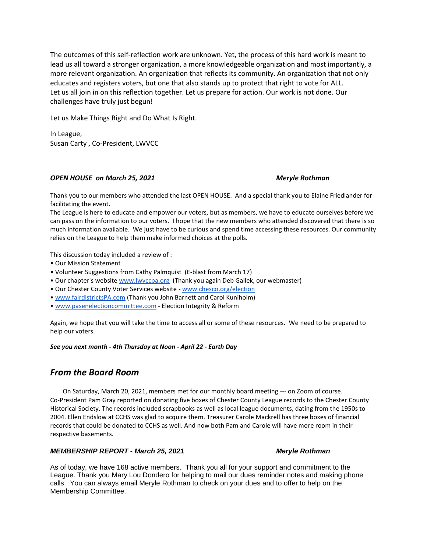The outcomes of this self-reflection work are unknown. Yet, the process of this hard work is meant to lead us all toward a stronger organization, a more knowledgeable organization and most importantly, a more relevant organization. An organization that reflects its community. An organization that not only educates and registers voters, but one that also stands up to protect that right to vote for ALL. Let us all join in on this reflection together. Let us prepare for action. Our work is not done. Our challenges have truly just begun!

Let us Make Things Right and Do What Is Right.

In League, Susan Carty , Co-President, LWVCC

## *OPEN HOUSE on March 25, 2021 Meryle Rothman*

Thank you to our members who attended the last OPEN HOUSE. And a special thank you to Elaine Friedlander for facilitating the event.

The League is here to educate and empower our voters, but as members, we have to educate ourselves before we can pass on the information to our voters. I hope that the new members who attended discovered that there is so much information available. We just have to be curious and spend time accessing these resources. Our community relies on the League to help them make informed choices at the polls.

This discussion today included a review of :

- Our Mission Statement
- Volunteer Suggestions from Cathy Palmquist (E-blast from March 17)
- Our chapter's website [www.lwvccpa.org](http://www.lwvccpa.org/) (Thank you again Deb Gallek, our webmaster)
- Our Chester County Voter Services website [www.chesco.org/election](http://www.chesco.org/election)
- [www.fairdistrictsPA.com](http://www.fairdistrictspa.com/) (Thank you John Barnett and Carol Kuniholm)
- [www.pasenelectioncommittee.com](http://www.pasenelectioncommittee.com/) Election Integrity & Reform

Again, we hope that you will take the time to access all or some of these resources. We need to be prepared to help our voters.

*See you next month - 4th Thursday at Noon - April 22 - Earth Day*

# *From the Board Room*

On Saturday, March 20, 2021, members met for our monthly board meeting --- on Zoom of course. Co-President Pam Gray reported on donating five boxes of Chester County League records to the Chester County Historical Society. The records included scrapbooks as well as local league documents, dating from the 1950s to 2004. Ellen Endslow at CCHS was glad to acquire them. Treasurer Carole Mackrell has three boxes of financial records that could be donated to CCHS as well. And now both Pam and Carole will have more room in their respective basements.

## *MEMBERSHIP REPORT - March 25, 2021 Meryle Rothman*

As of today, we have 168 active members. Thank you all for your support and commitment to the League. Thank you Mary Lou Dondero for helping to mail our dues reminder notes and making phone calls. You can always email Meryle Rothman to check on your dues and to offer to help on the Membership Committee.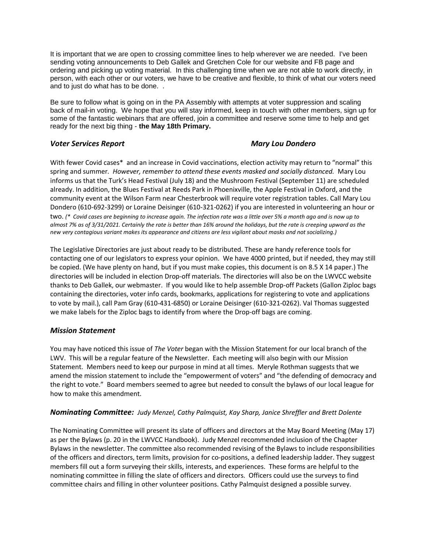It is important that we are open to crossing committee lines to help wherever we are needed. I've been sending voting announcements to Deb Gallek and Gretchen Cole for our website and FB page and ordering and picking up voting material. In this challenging time when we are not able to work directly, in person, with each other or our voters, we have to be creative and flexible, to think of what our voters need and to just do what has to be done. .

Be sure to follow what is going on in the PA Assembly with attempts at voter suppression and scaling back of mail-in voting. We hope that you will stay informed, keep in touch with other members, sign up for some of the fantastic webinars that are offered, join a committee and reserve some time to help and get ready for the next big thing - **the May 18th Primary.**

## *Voter Services Report Mary Lou Dondero*

With fewer Covid cases\* and an increase in Covid vaccinations, election activity may return to "normal" this spring and summer*. However, remember to attend these events masked and socially distanced.* Mary Lou informs us that the Turk's Head Festival (July 18) and the Mushroom Festival (September 11) are scheduled already. In addition, the Blues Festival at Reeds Park in Phoenixville, the Apple Festival in Oxford, and the community event at the Wilson Farm near Chesterbrook will require voter registration tables. Call Mary Lou Dondero (610-692-3299) or Loraine Deisinger (610-321-0262) if you are interested in volunteering an hour or two. *(\* Covid cases are beginning to increase again. The infection rate was a little over 5% a month ago and is now up to almost 7% as of 3/31/2021. Certainly the rate is better than 16% around the holidays, but the rate is creeping upward as the new very contagious variant makes its appearance and citizens are less vigilant about masks and not socializing.)*

The Legislative Directories are just about ready to be distributed. These are handy reference tools for contacting one of our legislators to express your opinion. We have 4000 printed, but if needed, they may still be copied. (We have plenty on hand, but if you must make copies, this document is on 8.5 X 14 paper.) The directories will be included in election Drop-off materials. The directories will also be on the LWVCC website thanks to Deb Gallek, our webmaster. If you would like to help assemble Drop-off Packets (Gallon Ziploc bags containing the directories, voter info cards, bookmarks, applications for registering to vote and applications to vote by mail.), call Pam Gray (610-431-6850) or Loraine Deisinger (610-321-0262). Val Thomas suggested we make labels for the Ziploc bags to identify from where the Drop-off bags are coming.

## *Mission Statement*

You may have noticed this issue of *The Voter* began with the Mission Statement for our local branch of the LWV. This will be a regular feature of the Newsletter. Each meeting will also begin with our Mission Statement. Members need to keep our purpose in mind at all times. Meryle Rothman suggests that we amend the mission statement to include the "empowerment of voters" and "the defending of democracy and the right to vote." Board members seemed to agree but needed to consult the bylaws of our local league for how to make this amendment.

## *Nominating Committee: Judy Menzel, Cathy Palmquist, Kay Sharp, Janice Shreffler and Brett Dolente*

The Nominating Committee will present its slate of officers and directors at the May Board Meeting (May 17) as per the Bylaws (p. 20 in the LWVCC Handbook). Judy Menzel recommended inclusion of the Chapter Bylaws in the newsletter. The committee also recommended revising of the Bylaws to include responsibilities of the officers and directors, term limits, provision for co-positions, a defined leadership ladder. They suggest members fill out a form surveying their skills, interests, and experiences. These forms are helpful to the nominating committee in filling the slate of officers and directors. Officers could use the surveys to find committee chairs and filling in other volunteer positions. Cathy Palmquist designed a possible survey.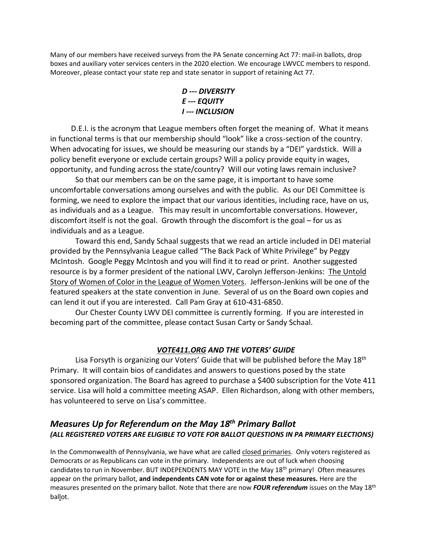Many of our members have received surveys from the PA Senate concerning Act 77: mail-in ballots, drop boxes and auxiliary voter services centers in the 2020 election. We encourage LWVCC members to respond. Moreover, please contact your state rep and state senator in support of retaining Act 77.

# *D --- DIVERSITY E --- EQUITY I --- INCLUSION*

D.E.I. is the acronym that League members often forget the meaning of. What it means in functional terms is that our membership should "look" like a cross-section of the country. When advocating for issues, we should be measuring our stands by a "DEI" yardstick. Will a policy benefit everyone or exclude certain groups? Will a policy provide equity in wages, opportunity, and funding across the state/country? Will our voting laws remain inclusive?

So that our members can be on the same page, it is important to have some uncomfortable conversations among ourselves and with the public. As our DEI Committee is forming, we need to explore the impact that our various identities, including race, have on us, as individuals and as a League. This may result in uncomfortable conversations. However, discomfort itself is not the goal. Growth through the discomfort is the goal – for us as individuals and as a League.

Toward this end, Sandy Schaal suggests that we read an article included in DEI material provided by the Pennsylvania League called "The Back Pack of White Privilege" by Peggy McIntosh. Google Peggy McIntosh and you will find it to read or print. Another suggested resource is by a former president of the national LWV, Carolyn Jefferson-Jenkins: The Untold Story of Women of Color in the League of Women Voters. Jefferson-Jenkins will be one of the featured speakers at the state convention in June. Several of us on the Board own copies and can lend it out if you are interested. Call Pam Gray at 610-431-6850.

Our Chester County LWV DEI committee is currently forming. If you are interested in becoming part of the committee, please contact Susan Carty or Sandy Schaal.

# *VOTE411.ORG AND THE VOTERS' GUIDE*

Lisa Forsyth is organizing our Voters' Guide that will be published before the May 18<sup>th</sup> Primary. It will contain bios of candidates and answers to questions posed by the state sponsored organization. The Board has agreed to purchase a \$400 subscription for the Vote 411 service. Lisa will hold a committee meeting ASAP. Ellen Richardson, along with other members, has volunteered to serve on Lisa's committee.

# *Measures Up for Referendum on the May 18th Primary Ballot (ALL REGISTERED VOTERS ARE ELIGIBLE TO VOTE FOR BALLOT QUESTIONS IN PA PRIMARY ELECTIONS)*

In the Commonwealth of Pennsylvania, we have what are called closed primaries. Only voters registered as Democrats or as Republicans can vote in the primary. Independents are out of luck when choosing candidates to run in November. BUT INDEPENDENTS MAY VOTE in the May 18<sup>th</sup> primary! Often measures appear on the primary ballot, **and independents CAN vote for or against these measures.** Here are the measures presented on the primary ballot. Note that there are now *FOUR referendum* issues on the May 18th ballot.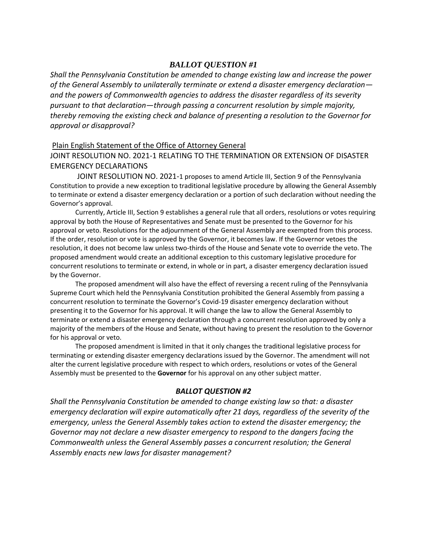# *BALLOT QUESTION #1*

*Shall the Pennsylvania Constitution be amended to change existing law and increase the power of the General Assembly to unilaterally terminate or extend a disaster emergency declaration and the powers of Commonwealth agencies to address the disaster regardless of its severity pursuant to that declaration—through passing a concurrent resolution by simple majority, thereby removing the existing check and balance of presenting a resolution to the Governor for approval or disapproval?*

## Plain English Statement of the Office of Attorney General

## JOINT RESOLUTION NO. 2021-1 RELATING TO THE TERMINATION OR EXTENSION OF DISASTER EMERGENCY DECLARATIONS

JOINT RESOLUTION NO. 2021-1 proposes to amend Article III, Section 9 of the Pennsylvania Constitution to provide a new exception to traditional legislative procedure by allowing the General Assembly to terminate or extend a disaster emergency declaration or a portion of such declaration without needing the Governor's approval.

Currently, Article III, Section 9 establishes a general rule that all orders, resolutions or votes requiring approval by both the House of Representatives and Senate must be presented to the Governor for his approval or veto. Resolutions for the adjournment of the General Assembly are exempted from this process. If the order, resolution or vote is approved by the Governor, it becomes law. If the Governor vetoes the resolution, it does not become law unless two-thirds of the House and Senate vote to override the veto. The proposed amendment would create an additional exception to this customary legislative procedure for concurrent resolutions to terminate or extend, in whole or in part, a disaster emergency declaration issued by the Governor.

The proposed amendment will also have the effect of reversing a recent ruling of the Pennsylvania Supreme Court which held the Pennsylvania Constitution prohibited the General Assembly from passing a concurrent resolution to terminate the Governor's Covid-19 disaster emergency declaration without presenting it to the Governor for his approval. It will change the law to allow the General Assembly to terminate or extend a disaster emergency declaration through a concurrent resolution approved by only a majority of the members of the House and Senate, without having to present the resolution to the Governor for his approval or veto.

The proposed amendment is limited in that it only changes the traditional legislative process for terminating or extending disaster emergency declarations issued by the Governor. The amendment will not alter the current legislative procedure with respect to which orders, resolutions or votes of the General Assembly must be presented to the **Governor** for his approval on any other subject matter.

## *BALLOT QUESTION #2*

*Shall the Pennsylvania Constitution be amended to change existing law so that: a disaster emergency declaration will expire automatically after 21 days, regardless of the severity of the emergency, unless the General Assembly takes action to extend the disaster emergency; the Governor may not declare a new disaster emergency to respond to the dangers facing the Commonwealth unless the General Assembly passes a concurrent resolution; the General Assembly enacts new laws for disaster management?*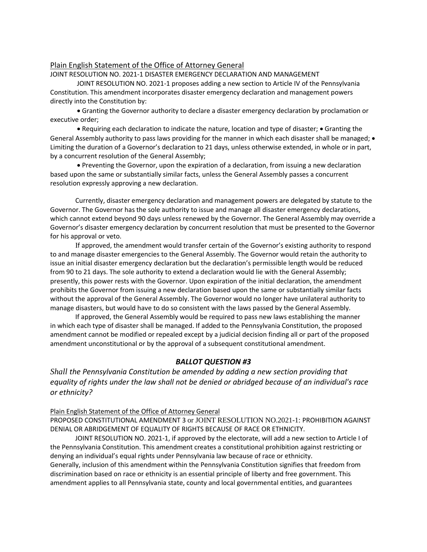## Plain English Statement of the Office of Attorney General

## JOINT RESOLUTION NO. 2021-1 DISASTER EMERGENCY DECLARATION AND MANAGEMENT

JOINT RESOLUTION NO. 2021-1 proposes adding a new section to Article IV of the Pennsylvania Constitution. This amendment incorporates disaster emergency declaration and management powers directly into the Constitution by:

 Granting the Governor authority to declare a disaster emergency declaration by proclamation or executive order;

• Requiring each declaration to indicate the nature, location and type of disaster; • Granting the General Assembly authority to pass laws providing for the manner in which each disaster shall be managed; • Limiting the duration of a Governor's declaration to 21 days, unless otherwise extended, in whole or in part, by a concurrent resolution of the General Assembly;

 Preventing the Governor, upon the expiration of a declaration, from issuing a new declaration based upon the same or substantially similar facts, unless the General Assembly passes a concurrent resolution expressly approving a new declaration.

Currently, disaster emergency declaration and management powers are delegated by statute to the Governor. The Governor has the sole authority to issue and manage all disaster emergency declarations, which cannot extend beyond 90 days unless renewed by the Governor. The General Assembly may override a Governor's disaster emergency declaration by concurrent resolution that must be presented to the Governor for his approval or veto.

If approved, the amendment would transfer certain of the Governor's existing authority to respond to and manage disaster emergencies to the General Assembly. The Governor would retain the authority to issue an initial disaster emergency declaration but the declaration's permissible length would be reduced from 90 to 21 days. The sole authority to extend a declaration would lie with the General Assembly; presently, this power rests with the Governor. Upon expiration of the initial declaration, the amendment prohibits the Governor from issuing a new declaration based upon the same or substantially similar facts without the approval of the General Assembly. The Governor would no longer have unilateral authority to manage disasters, but would have to do so consistent with the laws passed by the General Assembly.

If approved, the General Assembly would be required to pass new laws establishing the manner in which each type of disaster shall be managed. If added to the Pennsylvania Constitution, the proposed amendment cannot be modified or repealed except by a judicial decision finding all or part of the proposed amendment unconstitutional or by the approval of a subsequent constitutional amendment.

## *BALLOT QUESTION #3*

*Shall the Pennsylvania Constitution be amended by adding a new section providing that equality of rights under the law shall not be denied or abridged because of an individual's race or ethnicity?*

## Plain English Statement of the Office of Attorney General

PROPOSED CONSTITUTIONAL AMENDMENT 3 or JOINT RESOLUTION NO.2021-1: PROHIBITION AGAINST DENIAL OR ABRIDGEMENT OF EQUALITY OF RIGHTS BECAUSE OF RACE OR ETHNICITY.

JOINT RESOLUTION NO. 2021-1, if approved by the electorate, will add a new section to Article I of the Pennsylvania Constitution. This amendment creates a constitutional prohibition against restricting or denying an individual's equal rights under Pennsylvania law because of race or ethnicity. Generally, inclusion of this amendment within the Pennsylvania Constitution signifies that freedom from discrimination based on race or ethnicity is an essential principle of liberty and free government. This amendment applies to all Pennsylvania state, county and local governmental entities, and guarantees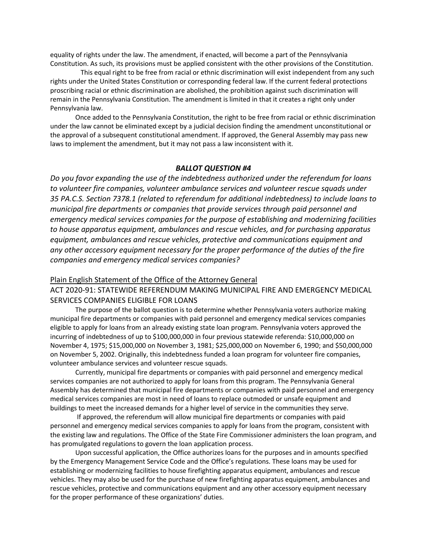equality of rights under the law. The amendment, if enacted, will become a part of the Pennsylvania Constitution. As such, its provisions must be applied consistent with the other provisions of the Constitution.

 This equal right to be free from racial or ethnic discrimination will exist independent from any such rights under the United States Constitution or corresponding federal law. If the current federal protections proscribing racial or ethnic discrimination are abolished, the prohibition against such discrimination will remain in the Pennsylvania Constitution. The amendment is limited in that it creates a right only under Pennsylvania law.

Once added to the Pennsylvania Constitution, the right to be free from racial or ethnic discrimination under the law cannot be eliminated except by a judicial decision finding the amendment unconstitutional or the approval of a subsequent constitutional amendment. If approved, the General Assembly may pass new laws to implement the amendment, but it may not pass a law inconsistent with it.

## *BALLOT QUESTION #4*

*Do you favor expanding the use of the indebtedness authorized under the referendum for loans to volunteer fire companies, volunteer ambulance services and volunteer rescue squads under 35 PA.C.S. Section 7378.1 (related to referendum for additional indebtedness) to include loans to municipal fire departments or companies that provide services through paid personnel and emergency medical services companies for the purpose of establishing and modernizing facilities to house apparatus equipment, ambulances and rescue vehicles, and for purchasing apparatus equipment, ambulances and rescue vehicles, protective and communications equipment and any other accessory equipment necessary for the proper performance of the duties of the fire companies and emergency medical services companies?* 

## Plain English Statement of the Office of the Attorney General

ACT 2020-91: STATEWIDE REFERENDUM MAKING MUNICIPAL FIRE AND EMERGENCY MEDICAL SERVICES COMPANIES ELIGIBLE FOR LOANS

The purpose of the ballot question is to determine whether Pennsylvania voters authorize making municipal fire departments or companies with paid personnel and emergency medical services companies eligible to apply for loans from an already existing state loan program. Pennsylvania voters approved the incurring of indebtedness of up to \$100,000,000 in four previous statewide referenda: \$10,000,000 on November 4, 1975; \$15,000,000 on November 3, 1981; \$25,000,000 on November 6, 1990; and \$50,000,000 on November 5, 2002. Originally, this indebtedness funded a loan program for volunteer fire companies, volunteer ambulance services and volunteer rescue squads.

Currently, municipal fire departments or companies with paid personnel and emergency medical services companies are not authorized to apply for loans from this program. The Pennsylvania General Assembly has determined that municipal fire departments or companies with paid personnel and emergency medical services companies are most in need of loans to replace outmoded or unsafe equipment and buildings to meet the increased demands for a higher level of service in the communities they serve.

If approved, the referendum will allow municipal fire departments or companies with paid personnel and emergency medical services companies to apply for loans from the program, consistent with the existing law and regulations. The Office of the State Fire Commissioner administers the loan program, and has promulgated regulations to govern the loan application process.

Upon successful application, the Office authorizes loans for the purposes and in amounts specified by the Emergency Management Service Code and the Office's regulations. These loans may be used for establishing or modernizing facilities to house firefighting apparatus equipment, ambulances and rescue vehicles. They may also be used for the purchase of new firefighting apparatus equipment, ambulances and rescue vehicles, protective and communications equipment and any other accessory equipment necessary for the proper performance of these organizations' duties.